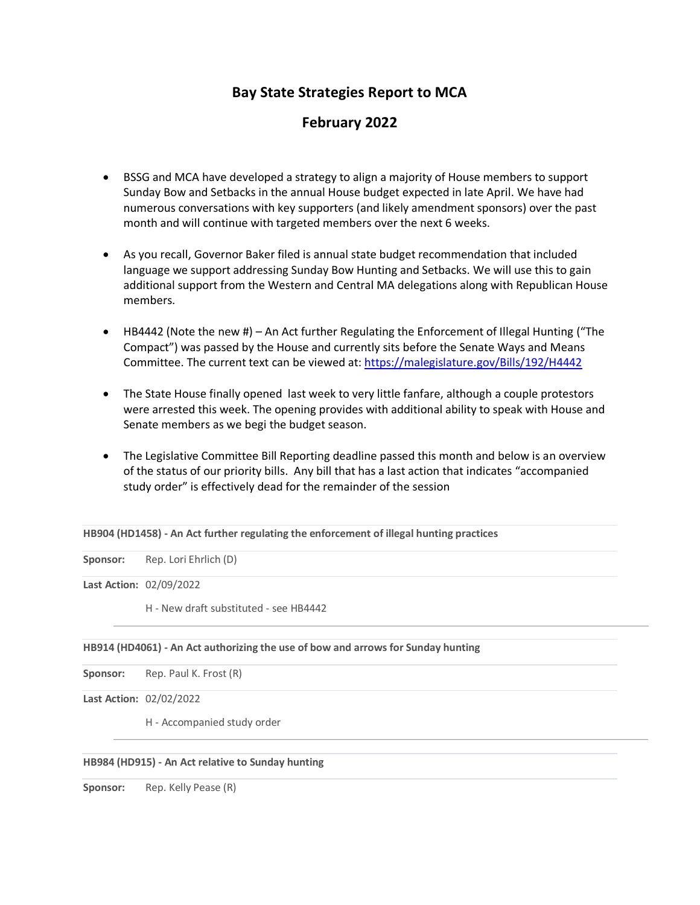# **Bay State Strategies Report to MCA**

# **February 2022**

- BSSG and MCA have developed a strategy to align a majority of House members to support Sunday Bow and Setbacks in the annual House budget expected in late April. We have had numerous conversations with key supporters (and likely amendment sponsors) over the past month and will continue with targeted members over the next 6 weeks.
- As you recall, Governor Baker filed is annual state budget recommendation that included language we support addressing Sunday Bow Hunting and Setbacks. We will use this to gain additional support from the Western and Central MA delegations along with Republican House members.
- HB4442 (Note the new #) An Act further Regulating the Enforcement of Illegal Hunting ("The Compact") was passed by the House and currently sits before the Senate Ways and Means Committee. The current text can be viewed at:<https://malegislature.gov/Bills/192/H4442>
- The State House finally opened last week to very little fanfare, although a couple protestors were arrested this week. The opening provides with additional ability to speak with House and Senate members as we begi the budget season.
- The Legislative Committee Bill Reporting deadline passed this month and below is an overview of the status of our priority bills. Any bill that has a last action that indicates "accompanied study order" is effectively dead for the remainder of the session

**HB904 (HD1458) - An Act further regulating the enforcement of illegal hunting practices**

**Sponsor:** Rep. Lori Ehrlich (D)

**Last Action:** 02/09/2022

H - New draft substituted - see HB4442

#### **HB914 (HD4061) - An Act authorizing the use of bow and arrows for Sunday hunting**

Sponsor: Rep. Paul K. Frost (R)

**Last Action:** 02/02/2022

H - Accompanied study order

### **HB984 (HD915) - An Act relative to Sunday hunting**

**Sponsor:** Rep. Kelly Pease (R)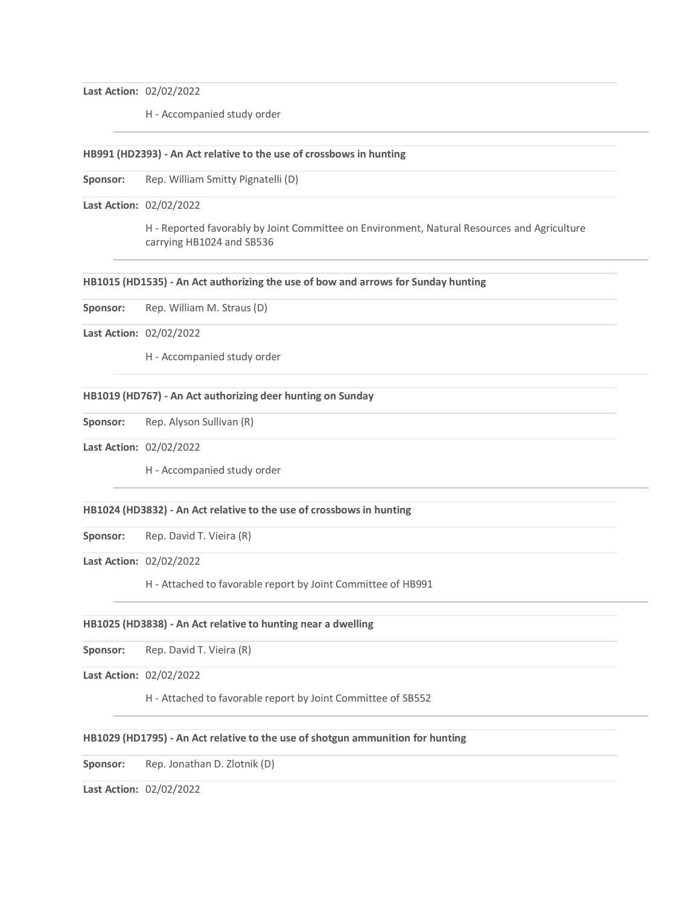**Last Action:** 02/02/2022

H - Accompanied study order

#### **HB991 (HD2393) - An Act relative to the use of crossbows in hunting**

Sponsor: Rep. William Smitty Pignatelli (D)

**Last Action:** 02/02/2022

H - Reported favorably by Joint Committee on Environment, Natural Resources and Agriculture carrying HB1024 and SB536

#### **HB1015 (HD1535) - An Act authorizing the use of bow and arrows for Sunday hunting**

**Sponsor:** Rep. William M. Straus (D)

## **Last Action:** 02/02/2022

H - Accompanied study order

### **HB1019 (HD767) - An Act authorizing deer hunting on Sunday**

**Sponsor:** Rep. Alyson Sullivan (R)

**Last Action:** 02/02/2022

H - Accompanied study order

#### **HB1024 (HD3832) - An Act relative to the use of crossbows in hunting**

**Sponsor:** Rep. David T. Vieira (R)

**Last Action:** 02/02/2022

H - Attached to favorable report by Joint Committee of HB991

#### **HB1025 (HD3838) - An Act relative to hunting near a dwelling**

**Sponsor:** Rep. David T. Vieira (R)

**Last Action:** 02/02/2022

H - Attached to favorable report by Joint Committee of SB552

#### **HB1029 (HD1795) - An Act relative to the use of shotgun ammunition for hunting**

**Sponsor:** Rep. Jonathan D. Zlotnik (D)

**Last Action:** 02/02/2022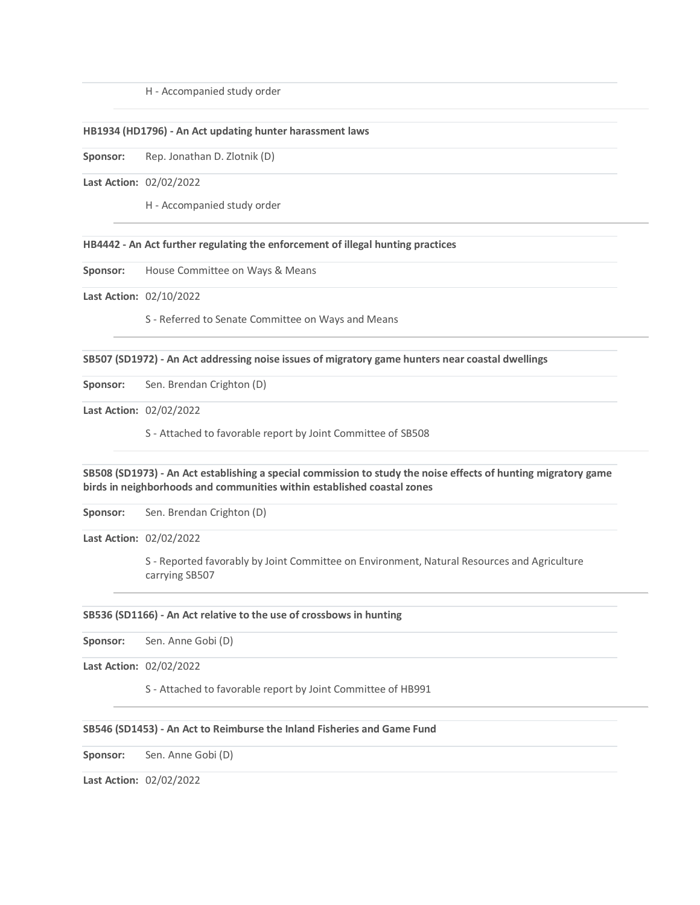H - Accompanied study order

#### **HB1934 (HD1796) - An Act updating hunter harassment laws**

**Sponsor:** Rep. Jonathan D. Zlotnik (D)

## **Last Action:** 02/02/2022

H - Accompanied study order

#### **HB4442 - An Act further regulating the enforcement of illegal hunting practices**

**Sponsor:** House Committee on Ways & Means

**Last Action:** 02/10/2022

S - Referred to Senate Committee on Ways and Means

**SB507 (SD1972) - An Act addressing noise issues of migratory game hunters near coastal dwellings**

**Sponsor:** Sen. Brendan Crighton (D)

**Last Action:** 02/02/2022

S - Attached to favorable report by Joint Committee of SB508

## **SB508 (SD1973) - An Act establishing a special commission to study the noise effects of hunting migratory game birds in neighborhoods and communities within established coastal zones**

**Sponsor:** Sen. Brendan Crighton (D)

**Last Action:** 02/02/2022

S - Reported favorably by Joint Committee on Environment, Natural Resources and Agriculture carrying SB507

#### **SB536 (SD1166) - An Act relative to the use of crossbows in hunting**

**Sponsor:** Sen. Anne Gobi (D)

**Last Action:** 02/02/2022

S - Attached to favorable report by Joint Committee of HB991

#### **SB546 (SD1453) - An Act to Reimburse the Inland Fisheries and Game Fund**

**Sponsor:** Sen. Anne Gobi (D)

**Last Action:** 02/02/2022